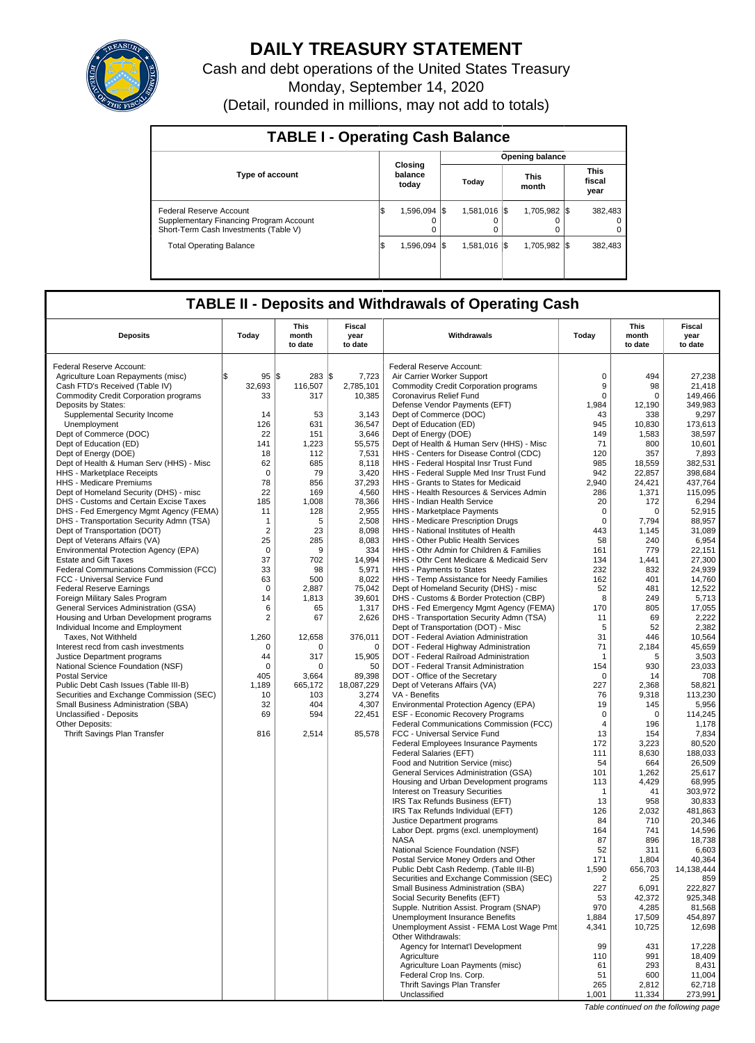

# **DAILY TREASURY STATEMENT**

Cash and debt operations of the United States Treasury Monday, September 14, 2020 (Detail, rounded in millions, may not add to totals)

| <b>TABLE I - Operating Cash Balance</b>                                                                     |     |                             |                        |               |  |                      |  |                               |  |  |  |
|-------------------------------------------------------------------------------------------------------------|-----|-----------------------------|------------------------|---------------|--|----------------------|--|-------------------------------|--|--|--|
|                                                                                                             |     |                             | <b>Opening balance</b> |               |  |                      |  |                               |  |  |  |
| <b>Type of account</b>                                                                                      |     | Closing<br>balance<br>today | Todav                  |               |  | <b>This</b><br>month |  | <b>This</b><br>fiscal<br>year |  |  |  |
| Federal Reserve Account<br>Supplementary Financing Program Account<br>Short-Term Cash Investments (Table V) | l\$ | 1,596,094   \$              |                        | 1,581,016  \$ |  | 1,705,982 \\$        |  | 382.483<br>0<br>$\Omega$      |  |  |  |
| <b>Total Operating Balance</b>                                                                              | 1\$ | 1.596.094 \\$               |                        | 1.581.016 \\$ |  | 1.705.982 \\$        |  | 382.483                       |  |  |  |

## **TABLE II - Deposits and Withdrawals of Operating Cash**

| <b>Deposits</b>                                                                  | Today          | This<br>month<br>to date | Fiscal<br>year<br>to date | Withdrawals                                                                    | Today             | <b>This</b><br>month<br>to date | Fiscal<br>year<br>to date             |
|----------------------------------------------------------------------------------|----------------|--------------------------|---------------------------|--------------------------------------------------------------------------------|-------------------|---------------------------------|---------------------------------------|
| Federal Reserve Account:                                                         |                |                          |                           | Federal Reserve Account:                                                       |                   |                                 |                                       |
| Agriculture Loan Repayments (misc)                                               | \$<br>$95 $ \$ | 283                      | 1\$<br>7,723              | Air Carrier Worker Support                                                     | $\mathbf 0$       | 494                             | 27,238                                |
| Cash FTD's Received (Table IV)                                                   | 32,693         | 116,507                  | 2,785,101                 | <b>Commodity Credit Corporation programs</b>                                   | 9                 | 98                              | 21.418                                |
| <b>Commodity Credit Corporation programs</b>                                     | 33             | 317                      | 10.385                    | Coronavirus Relief Fund                                                        | 0                 | $\Omega$                        | 149,466                               |
| Deposits by States:                                                              |                |                          |                           | Defense Vendor Payments (EFT)                                                  | 1,984             | 12,190                          | 349,983                               |
| Supplemental Security Income                                                     | 14             | 53                       | 3,143                     | Dept of Commerce (DOC)                                                         | 43                | 338                             | 9,297                                 |
| Unemployment                                                                     | 126            | 631                      | 36,547                    | Dept of Education (ED)                                                         | 945               | 10,830                          | 173,613                               |
| Dept of Commerce (DOC)                                                           | 22             | 151                      | 3,646                     | Dept of Energy (DOE)                                                           | 149               | 1,583                           | 38,597                                |
| Dept of Education (ED)                                                           | 141            | 1,223                    | 55,575                    | Dept of Health & Human Serv (HHS) - Misc                                       | 71                | 800                             | 10,601                                |
| Dept of Energy (DOE)                                                             | 18             | 112                      | 7,531                     | HHS - Centers for Disease Control (CDC)                                        | 120               | 357                             | 7,893                                 |
| Dept of Health & Human Serv (HHS) - Misc                                         | 62             | 685                      | 8,118                     | HHS - Federal Hospital Insr Trust Fund                                         | 985               | 18,559                          | 382,531                               |
| <b>HHS</b> - Marketplace Receipts                                                | $\mathbf 0$    | 79                       | 3,420                     | HHS - Federal Supple Med Insr Trust Fund                                       | 942               | 22,857                          | 398.684                               |
| <b>HHS - Medicare Premiums</b>                                                   | 78             | 856                      | 37,293<br>4,560           | HHS - Grants to States for Medicaid<br>HHS - Health Resources & Services Admin | 2,940             | 24,421                          | 437,764                               |
| Dept of Homeland Security (DHS) - misc<br>DHS - Customs and Certain Excise Taxes | 22<br>185      | 169<br>1,008             | 78,366                    | HHS - Indian Health Service                                                    | 286<br>20         | 1,371<br>172                    | 115,095<br>6,294                      |
| DHS - Fed Emergency Mgmt Agency (FEMA)                                           | 11             | 128                      | 2,955                     | HHS - Marketplace Payments                                                     | $\mathbf 0$       | $\mathbf 0$                     | 52,915                                |
| DHS - Transportation Security Admn (TSA)                                         | 1              | 5                        | 2,508                     | HHS - Medicare Prescription Drugs                                              | 0                 | 7,794                           | 88,957                                |
| Dept of Transportation (DOT)                                                     | $\overline{2}$ | 23                       | 8,098                     | HHS - National Institutes of Health                                            | 443               | 1,145                           | 31,089                                |
| Dept of Veterans Affairs (VA)                                                    | 25             | 285                      | 8,083                     | HHS - Other Public Health Services                                             | 58                | 240                             | 6,954                                 |
| Environmental Protection Agency (EPA)                                            | 0              | 9                        | 334                       | HHS - Othr Admin for Children & Families                                       | 161               | 779                             | 22,151                                |
| <b>Estate and Gift Taxes</b>                                                     | 37             | 702                      | 14,994                    | HHS - Othr Cent Medicare & Medicaid Serv                                       | 134               | 1,441                           | 27,300                                |
| Federal Communications Commission (FCC)                                          | 33             | 98                       | 5,971                     | HHS - Payments to States                                                       | 232               | 832                             | 24,939                                |
| FCC - Universal Service Fund                                                     | 63             | 500                      | 8,022                     | HHS - Temp Assistance for Needy Families                                       | 162               | 401                             | 14,760                                |
| <b>Federal Reserve Earnings</b>                                                  | $\mathbf 0$    | 2,887                    | 75,042                    | Dept of Homeland Security (DHS) - misc                                         | 52                | 481                             | 12,522                                |
| Foreign Military Sales Program                                                   | 14             | 1,813                    | 39,601                    | DHS - Customs & Border Protection (CBP)                                        | 8                 | 249                             | 5,713                                 |
| General Services Administration (GSA)                                            | 6              | 65                       | 1,317                     | DHS - Fed Emergency Mgmt Agency (FEMA)                                         | 170               | 805                             | 17,055                                |
| Housing and Urban Development programs                                           | 2              | 67                       | 2,626                     | DHS - Transportation Security Admn (TSA)                                       | 11                | 69                              | 2,222                                 |
| Individual Income and Employment                                                 |                |                          |                           | Dept of Transportation (DOT) - Misc                                            | 5                 | 52                              | 2,382                                 |
| Taxes. Not Withheld                                                              | 1,260          | 12,658                   | 376,011                   | DOT - Federal Aviation Administration                                          | 31                | 446                             | 10,564                                |
| Interest recd from cash investments                                              | 0              | 0                        | $\mathbf 0$               | DOT - Federal Highway Administration                                           | 71                | 2,184                           | 45,659                                |
| Justice Department programs                                                      | 44             | 317                      | 15,905                    | DOT - Federal Railroad Administration                                          | 1                 | 5                               | 3,503                                 |
| National Science Foundation (NSF)                                                | $\mathbf 0$    | $\mathbf 0$              | 50                        | DOT - Federal Transit Administration                                           | 154               | 930                             | 23,033                                |
| <b>Postal Service</b>                                                            | 405            | 3,664                    | 89,398                    | DOT - Office of the Secretary                                                  | $\mathbf 0$       | 14                              | 708                                   |
| Public Debt Cash Issues (Table III-B)                                            | 1,189          | 665,172                  | 18,087,229                | Dept of Veterans Affairs (VA)                                                  | 227               | 2,368                           | 58,821                                |
| Securities and Exchange Commission (SEC)                                         | 10             | 103                      | 3,274                     | VA - Benefits                                                                  | 76                | 9,318                           | 113,230                               |
| Small Business Administration (SBA)                                              | 32<br>69       | 404<br>594               | 4,307                     | Environmental Protection Agency (EPA)                                          | 19<br>$\mathbf 0$ | 145<br>$\mathbf 0$              | 5,956                                 |
| Unclassified - Deposits<br><b>Other Deposits:</b>                                |                |                          | 22,451                    | ESF - Economic Recovery Programs<br>Federal Communications Commission (FCC)    | 4                 | 196                             | 114,245<br>1,178                      |
| Thrift Savings Plan Transfer                                                     | 816            | 2,514                    | 85,578                    | FCC - Universal Service Fund                                                   | 13                | 154                             | 7,834                                 |
|                                                                                  |                |                          |                           | Federal Employees Insurance Payments                                           | 172               | 3,223                           | 80,520                                |
|                                                                                  |                |                          |                           | Federal Salaries (EFT)                                                         | 111               | 8,630                           | 188,033                               |
|                                                                                  |                |                          |                           | Food and Nutrition Service (misc)                                              | 54                | 664                             | 26,509                                |
|                                                                                  |                |                          |                           | General Services Administration (GSA)                                          | 101               | 1,262                           | 25,617                                |
|                                                                                  |                |                          |                           | Housing and Urban Development programs                                         | 113               | 4,429                           | 68,995                                |
|                                                                                  |                |                          |                           | <b>Interest on Treasury Securities</b>                                         | $\mathbf{1}$      | 41                              | 303,972                               |
|                                                                                  |                |                          |                           | IRS Tax Refunds Business (EFT)                                                 | 13                | 958                             | 30,833                                |
|                                                                                  |                |                          |                           | IRS Tax Refunds Individual (EFT)                                               | 126               | 2,032                           | 481,863                               |
|                                                                                  |                |                          |                           | Justice Department programs                                                    | 84                | 710                             | 20,346                                |
|                                                                                  |                |                          |                           | Labor Dept. prgms (excl. unemployment)                                         | 164               | 741                             | 14,596                                |
|                                                                                  |                |                          |                           | <b>NASA</b>                                                                    | 87                | 896                             | 18,738                                |
|                                                                                  |                |                          |                           | National Science Foundation (NSF)<br>Postal Service Money Orders and Other     | 52<br>171         | 311<br>1,804                    | 6,603<br>40,364                       |
|                                                                                  |                |                          |                           | Public Debt Cash Redemp. (Table III-B)                                         | 1,590             | 656,703                         | 14,138,444                            |
|                                                                                  |                |                          |                           | Securities and Exchange Commission (SEC)                                       | 2                 | 25                              | 859                                   |
|                                                                                  |                |                          |                           | Small Business Administration (SBA)                                            | 227               | 6,091                           | 222,827                               |
|                                                                                  |                |                          |                           | Social Security Benefits (EFT)                                                 | 53                | 42,372                          | 925,348                               |
|                                                                                  |                |                          |                           | Supple. Nutrition Assist. Program (SNAP)                                       | 970               | 4,285                           | 81,568                                |
|                                                                                  |                |                          |                           | <b>Unemployment Insurance Benefits</b>                                         | 1,884             | 17,509                          | 454,897                               |
|                                                                                  |                |                          |                           | Unemployment Assist - FEMA Lost Wage Pmt<br>Other Withdrawals:                 | 4,341             | 10,725                          | 12,698                                |
|                                                                                  |                |                          |                           | Agency for Internat'l Development                                              | 99                | 431                             | 17,228                                |
|                                                                                  |                |                          |                           | Agriculture                                                                    | 110               | 991                             | 18,409                                |
|                                                                                  |                |                          |                           | Agriculture Loan Payments (misc)                                               | 61                | 293                             | 8,431                                 |
|                                                                                  |                |                          |                           | Federal Crop Ins. Corp.                                                        | 51                | 600                             | 11,004                                |
|                                                                                  |                |                          |                           | Thrift Savings Plan Transfer                                                   | 265               | 2,812                           | 62,718                                |
|                                                                                  |                |                          |                           | Unclassified                                                                   | 1,001             | 11,334                          | 273,991                               |
|                                                                                  |                |                          |                           |                                                                                |                   |                                 | Table continued on the following page |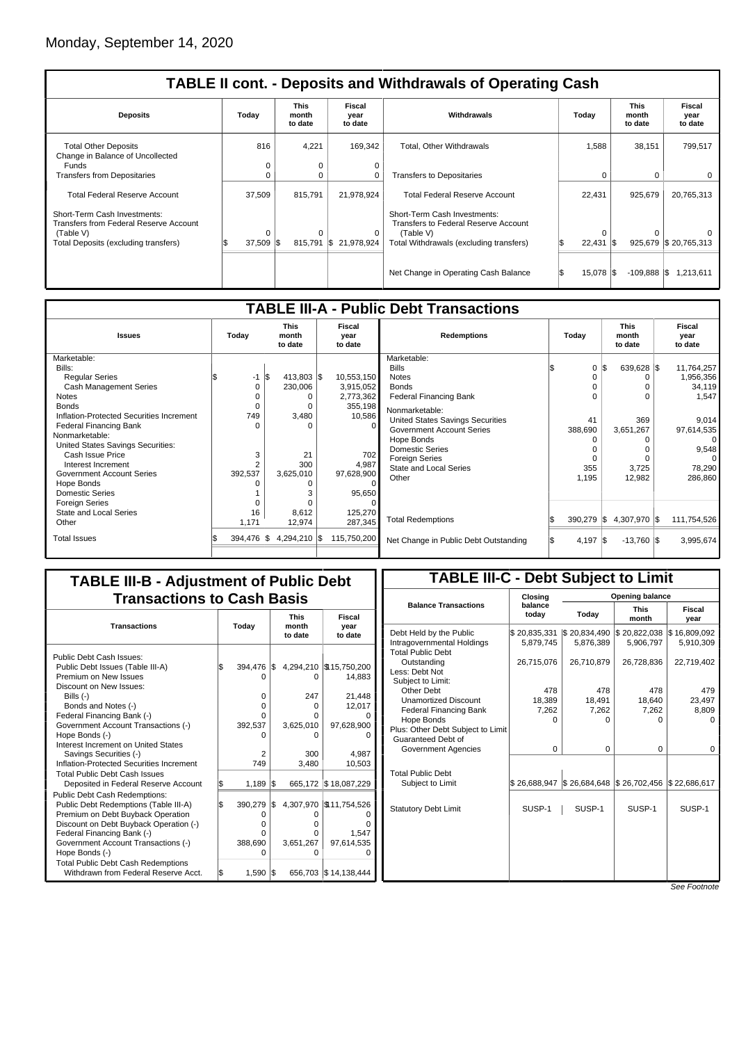| <b>TABLE II cont. - Deposits and Withdrawals of Operating Cash</b>     |                        |                                 |                           |                                                                             |                                   |                       |                           |  |  |  |  |
|------------------------------------------------------------------------|------------------------|---------------------------------|---------------------------|-----------------------------------------------------------------------------|-----------------------------------|-----------------------|---------------------------|--|--|--|--|
| <b>Deposits</b>                                                        | Today                  | <b>This</b><br>month<br>to date | Fiscal<br>year<br>to date | Withdrawals                                                                 | This<br>Today<br>month<br>to date |                       | Fiscal<br>year<br>to date |  |  |  |  |
| <b>Total Other Deposits</b><br>Change in Balance of Uncollected        | 816                    | 4,221                           | 169,342                   | Total, Other Withdrawals                                                    | 1,588                             | 38,151                | 799,517                   |  |  |  |  |
| Funds                                                                  | 0                      | 0                               | 0                         |                                                                             |                                   |                       |                           |  |  |  |  |
| <b>Transfers from Depositaries</b>                                     | 0                      | 0                               | 0                         | <b>Transfers to Depositaries</b>                                            |                                   | 0                     |                           |  |  |  |  |
| <b>Total Federal Reserve Account</b>                                   | 37,509                 | 815,791                         | 21,978,924                | <b>Total Federal Reserve Account</b>                                        | 22,431                            | 925,679               | 20,765,313                |  |  |  |  |
| Short-Term Cash Investments:<br>Transfers from Federal Reserve Account |                        |                                 |                           | Short-Term Cash Investments:<br><b>Transfers to Federal Reserve Account</b> |                                   |                       |                           |  |  |  |  |
| (Table V)                                                              | 0                      | 0                               | 0                         | (Table V)                                                                   | 0                                 |                       |                           |  |  |  |  |
| Total Deposits (excluding transfers)                                   | $37,509$ $\frac{1}{3}$ | 815,791                         | \$21,978,924              | Total Withdrawals (excluding transfers)                                     | 22,431                            |                       | 925,679 \$20,765,313      |  |  |  |  |
|                                                                        |                        |                                 |                           |                                                                             |                                   |                       |                           |  |  |  |  |
|                                                                        |                        |                                 |                           | Net Change in Operating Cash Balance                                        | 15,078 \$                         | $-109,888$ $\sqrt{5}$ | 1,213,611                 |  |  |  |  |

| <b>TABLE III-A - Public Debt Transactions</b> |                                                                       |                   |             |                                       |                    |                                 |                           |  |  |  |
|-----------------------------------------------|-----------------------------------------------------------------------|-------------------|-------------|---------------------------------------|--------------------|---------------------------------|---------------------------|--|--|--|
| <b>Issues</b>                                 | <b>This</b><br>Fiscal<br>Today<br>month<br>year<br>to date<br>to date |                   |             | <b>Redemptions</b>                    | Today              | <b>This</b><br>month<br>to date | Fiscal<br>year<br>to date |  |  |  |
| Marketable:                                   |                                                                       |                   |             | Marketable:                           |                    |                                 |                           |  |  |  |
| Bills:                                        |                                                                       |                   |             | <b>Bills</b>                          | 0                  | l\$<br>639,628 \$               | 11,764,257                |  |  |  |
| <b>Reqular Series</b>                         | -1                                                                    | 413,803 \$<br>I\$ | 10,553,150  | <b>Notes</b>                          |                    | 0                               | 1,956,356                 |  |  |  |
| <b>Cash Management Series</b>                 | $\Omega$                                                              | 230,006           | 3,915,052   | <b>Bonds</b>                          |                    |                                 | 34,119                    |  |  |  |
| <b>Notes</b>                                  |                                                                       | 0                 | 2,773,362   | <b>Federal Financing Bank</b>         |                    | ∩                               | 1,547                     |  |  |  |
| <b>Bonds</b>                                  | 0                                                                     | $\Omega$          | 355,198     | Nonmarketable:                        |                    |                                 |                           |  |  |  |
| Inflation-Protected Securities Increment      | 749                                                                   | 3,480             | 10,586      | United States Savings Securities      | 41                 | 369                             | 9,014                     |  |  |  |
| <b>Federal Financing Bank</b>                 | O                                                                     | $\Omega$          |             | <b>Government Account Series</b>      | 388,690            | 3,651,267                       | 97,614,535                |  |  |  |
| Nonmarketable:                                |                                                                       |                   |             | Hope Bonds                            |                    |                                 | $\Omega$                  |  |  |  |
| United States Savings Securities:             |                                                                       |                   |             | <b>Domestic Series</b>                |                    |                                 | 9,548                     |  |  |  |
| Cash Issue Price                              | 3                                                                     | 21                | 702         | <b>Foreign Series</b>                 |                    | 0                               | $\Omega$                  |  |  |  |
| Interest Increment                            | $\overline{2}$                                                        | 300               | 4,987       | <b>State and Local Series</b>         | 355                | 3,725                           | 78,290                    |  |  |  |
| <b>Government Account Series</b>              | 392,537                                                               | 3,625,010         | 97,628,900  | Other                                 | 1,195              | 12,982                          | 286,860                   |  |  |  |
| Hope Bonds                                    |                                                                       | $\Omega$          |             |                                       |                    |                                 |                           |  |  |  |
| <b>Domestic Series</b>                        |                                                                       |                   | 95,650      |                                       |                    |                                 |                           |  |  |  |
| <b>Foreign Series</b>                         |                                                                       |                   |             |                                       |                    |                                 |                           |  |  |  |
| State and Local Series                        | 16                                                                    | 8,612             | 125,270     |                                       |                    |                                 |                           |  |  |  |
| Other                                         | 1,171                                                                 | 12,974            | 287,345     | <b>Total Redemptions</b>              | $390,279$ \\$      | 4,307,970 \$                    | 111,754,526               |  |  |  |
| <b>Total Issues</b>                           | 394.476 \$                                                            | 4,294,210 \$      | 115,750,200 | Net Change in Public Debt Outstanding | $4,197$ $\sqrt{5}$ | $-13,760$ \\$                   | 3,995,674                 |  |  |  |
|                                               |                                                                       |                   |             |                                       |                    |                                 |                           |  |  |  |

## **TABLE III-B - Adjustment of Public Debt Transactions to Cash Basis**

| <b>Transactions</b>                       |     | Today   |      | <b>This</b><br>month<br>to date | Fiscal<br>year<br>to date |
|-------------------------------------------|-----|---------|------|---------------------------------|---------------------------|
| Public Debt Cash Issues:                  |     |         |      |                                 |                           |
| Public Debt Issues (Table III-A)          | l\$ | 394,476 | l\$  |                                 | 4,294,210 \\$15,750,200   |
| Premium on New Issues                     |     |         |      | Ω                               | 14.883                    |
| Discount on New Issues:                   |     |         |      |                                 |                           |
| Bills (-)                                 |     | 0       |      | 247                             | 21.448                    |
| Bonds and Notes (-)                       |     | O       |      | 0                               | 12,017                    |
| Federal Financing Bank (-)                |     | Ω       |      | Ω                               |                           |
| Government Account Transactions (-)       |     | 392,537 |      | 3,625,010                       | 97,628,900                |
| Hope Bonds (-)                            |     |         |      |                                 |                           |
| Interest Increment on United States       |     |         |      |                                 |                           |
| Savings Securities (-)                    |     | 2       |      | 300                             | 4.987                     |
| Inflation-Protected Securities Increment  |     | 749     |      | 3.480                           | 10,503                    |
| <b>Total Public Debt Cash Issues</b>      |     |         |      |                                 |                           |
| Deposited in Federal Reserve Account      | S.  | 1,189   | l\$  | 665,172                         | \$18,087,229              |
| <b>Public Debt Cash Redemptions:</b>      |     |         |      |                                 |                           |
| Public Debt Redemptions (Table III-A)     | ß.  | 390,279 | I\$. |                                 | 4,307,970 \\$11,754,526   |
| Premium on Debt Buyback Operation         |     |         |      |                                 |                           |
| Discount on Debt Buyback Operation (-)    |     | Ω       |      |                                 |                           |
| Federal Financing Bank (-)                |     |         |      | Ω                               | 1.547                     |
| Government Account Transactions (-)       |     | 388,690 |      | 3,651,267                       | 97,614,535                |
| Hope Bonds (-)                            |     |         |      |                                 |                           |
| <b>Total Public Debt Cash Redemptions</b> |     |         |      |                                 |                           |
| Withdrawn from Federal Reserve Acct.      | \$  | 1,590   | I\$  |                                 | 656,703   \$14,138,444    |

## **TABLE III-C - Debt Subject to Limit**

|                                                         | Closing          |              |                                                                                                                                                                                          |                |
|---------------------------------------------------------|------------------|--------------|------------------------------------------------------------------------------------------------------------------------------------------------------------------------------------------|----------------|
| <b>Balance Transactions</b>                             | balance<br>today | Today        | Opening balance<br><b>This</b><br>Fiscal<br>month<br>year<br>\$20,822,038<br>5,906,797<br>26,728,836<br>478<br>478<br>18,640<br>7,262<br>0<br>0<br>0<br>0<br>$$26,684,648$ $$26,702,456$ |                |
| Debt Held by the Public                                 | \$20,835,331     | \$20,834,490 |                                                                                                                                                                                          | \$16,809,092   |
| Intragovernmental Holdings                              | 5.879.745        | 5,876,389    |                                                                                                                                                                                          | 5,910,309      |
| <b>Total Public Debt</b>                                |                  |              |                                                                                                                                                                                          |                |
| Outstanding                                             | 26,715,076       | 26,710,879   |                                                                                                                                                                                          | 22,719,402     |
| Less: Debt Not                                          |                  |              |                                                                                                                                                                                          |                |
| Subject to Limit:                                       |                  |              |                                                                                                                                                                                          |                |
| Other Debt                                              | 478              |              |                                                                                                                                                                                          | 479            |
| <b>Unamortized Discount</b>                             | 18,389           | 18,491       |                                                                                                                                                                                          | 23,497         |
| <b>Federal Financing Bank</b>                           | 7,262            | 7.262        |                                                                                                                                                                                          | 8,809          |
| Hope Bonds                                              | 0                |              |                                                                                                                                                                                          | $\Omega$       |
| Plus: Other Debt Subject to Limit<br>Guaranteed Debt of |                  |              |                                                                                                                                                                                          |                |
|                                                         |                  |              |                                                                                                                                                                                          |                |
| Government Agencies                                     | 0                |              |                                                                                                                                                                                          | 0              |
|                                                         |                  |              |                                                                                                                                                                                          |                |
| <b>Total Public Debt</b>                                |                  |              |                                                                                                                                                                                          |                |
| Subject to Limit                                        | \$26,688,947     |              |                                                                                                                                                                                          | \$22,686,617   |
|                                                         |                  |              |                                                                                                                                                                                          |                |
| <b>Statutory Debt Limit</b>                             | SUSP-1           | SUSP-1       | SUSP-1                                                                                                                                                                                   | SUSP-1         |
|                                                         |                  |              |                                                                                                                                                                                          |                |
|                                                         |                  |              |                                                                                                                                                                                          |                |
|                                                         |                  |              |                                                                                                                                                                                          |                |
|                                                         |                  |              |                                                                                                                                                                                          |                |
|                                                         |                  |              |                                                                                                                                                                                          |                |
|                                                         |                  |              |                                                                                                                                                                                          |                |
|                                                         |                  |              |                                                                                                                                                                                          |                |
|                                                         |                  |              |                                                                                                                                                                                          | $\overline{ }$ |

See Footnote